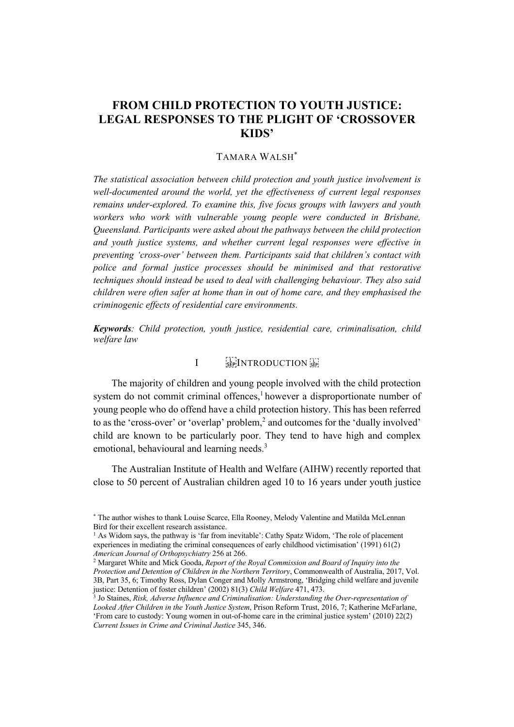# **FROM CHILD PROTECTION TO YOUTH JUSTICE: LEGAL RESPONSES TO THE PLIGHT OF 'CROSSOVER KIDS'**

# TAMARA WALSH\*

*The statistical association between child protection and youth justice involvement is well-documented around the world, yet the effectiveness of current legal responses remains under-explored. To examine this, five focus groups with lawyers and youth workers who work with vulnerable young people were conducted in Brisbane, Queensland. Participants were asked about the pathways between the child protection and youth justice systems, and whether current legal responses were effective in preventing 'cross-over' between them. Participants said that children's contact with police and formal justice processes should be minimised and that restorative techniques should instead be used to deal with challenging behaviour. They also said children were often safer at home than in out of home care, and they emphasised the criminogenic effects of residential care environments.*

*Keywords: Child protection, youth justice, residential care, criminalisation, child welfare law*

# I SEPINTRODUCTION

The majority of children and young people involved with the child protection system do not commit criminal offences, $\frac{1}{2}$  however a disproportionate number of young people who do offend have a child protection history. This has been referred to as the 'cross-over' or 'overlap' problem,<sup>2</sup> and outcomes for the 'dually involved' child are known to be particularly poor. They tend to have high and complex emotional, behavioural and learning needs.<sup>3</sup>

The Australian Institute of Health and Welfare (AIHW) recently reported that close to 50 percent of Australian children aged 10 to 16 years under youth justice

<sup>\*</sup> The author wishes to thank Louise Scarce, Ella Rooney, Melody Valentine and Matilda McLennan Bird for their excellent research assistance.

 $<sup>1</sup>$  As Widom says, the pathway is 'far from inevitable': Cathy Spatz Widom, 'The role of placement</sup> experiences in mediating the criminal consequences of early childhood victimisation' (1991) 61(2) *American Journal of Orthopsychiatry* 256 at 266.

<sup>2</sup> Margaret White and Mick Gooda, *Report of the Royal Commission and Board of Inquiry into the Protection and Detention of Children in the Northern Territory*, Commonwealth of Australia, 2017, Vol. 3B, Part 35, 6; Timothy Ross, Dylan Conger and Molly Armstrong, 'Bridging child welfare and juvenile justice: Detention of foster children' (2002) 81(3) *Child Welfare* 471, 473.

<sup>3</sup> Jo Staines, *Risk, Adverse Influence and Criminalisation: Understanding the Over-representation of Looked After Children in the Youth Justice System*, Prison Reform Trust, 2016, 7; Katherine McFarlane, 'From care to custody: Young women in out-of-home care in the criminal justice system' (2010) 22(2) *Current Issues in Crime and Criminal Justice* 345, 346.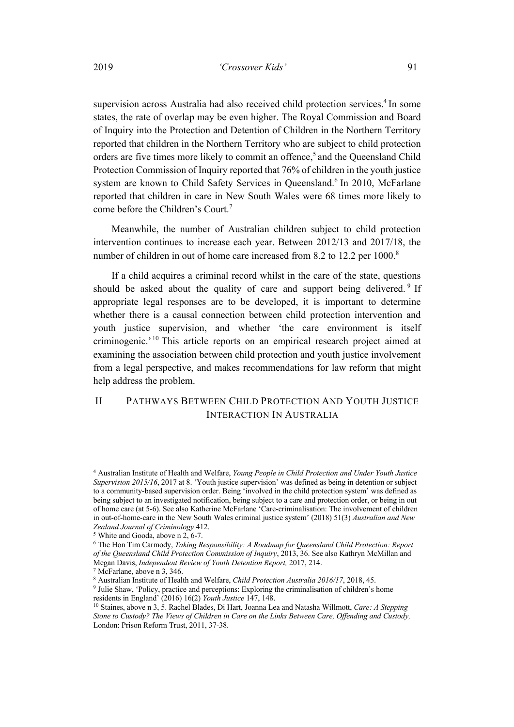supervision across Australia had also received child protection services.<sup>4</sup> In some states, the rate of overlap may be even higher. The Royal Commission and Board of Inquiry into the Protection and Detention of Children in the Northern Territory reported that children in the Northern Territory who are subject to child protection orders are five times more likely to commit an offence,<sup>5</sup> and the Queensland Child Protection Commission of Inquiry reported that 76% of children in the youth justice system are known to Child Safety Services in Queensland.<sup>6</sup> In 2010, McFarlane reported that children in care in New South Wales were 68 times more likely to come before the Children's Court.<sup>7</sup>

Meanwhile, the number of Australian children subject to child protection intervention continues to increase each year. Between 2012/13 and 2017/18, the number of children in out of home care increased from 8.2 to 12.2 per 1000.<sup>8</sup>

If a child acquires a criminal record whilst in the care of the state, questions should be asked about the quality of care and support being delivered.<sup>9</sup> If appropriate legal responses are to be developed, it is important to determine whether there is a causal connection between child protection intervention and youth justice supervision, and whether 'the care environment is itself criminogenic.' <sup>10</sup> This article reports on an empirical research project aimed at examining the association between child protection and youth justice involvement from a legal perspective, and makes recommendations for law reform that might help address the problem.

# II PATHWAYS BETWEEN CHILD PROTECTION AND YOUTH JUSTICE INTERACTION IN AUSTRALIA

<sup>4</sup> Australian Institute of Health and Welfare, *Young People in Child Protection and Under Youth Justice Supervision 2015/16*, 2017 at 8. 'Youth justice supervision' was defined as being in detention or subject to a community-based supervision order. Being 'involved in the child protection system' was defined as being subject to an investigated notification, being subject to a care and protection order, or being in out of home care (at 5-6). See also Katherine McFarlane 'Care-criminalisation: The involvement of children in out-of-home-care in the New South Wales criminal justice system' (2018) 51(3) *Australian and New Zealand Journal of Criminology* 412.

<sup>5</sup> White and Gooda, above n 2, 6-7.

<sup>6</sup> The Hon Tim Carmody, *Taking Responsibility: A Roadmap for Queensland Child Protection: Report of the Queensland Child Protection Commission of Inquiry*, 2013, 36. See also Kathryn McMillan and Megan Davis, *Independent Review of Youth Detention Report,* 2017, 214.

<sup>7</sup> McFarlane, above n 3, 346.

<sup>8</sup> Australian Institute of Health and Welfare, *Child Protection Australia 2016/17*, 2018, 45.

<sup>&</sup>lt;sup>9</sup> Julie Shaw, 'Policy, practice and perceptions: Exploring the criminalisation of children's home residents in England' (2016) 16(2) *Youth Justice* 147, 148.

<sup>10</sup> Staines, above n 3, 5. Rachel Blades, Di Hart, Joanna Lea and Natasha Willmott, *Care: A Stepping Stone to Custody? The Views of Children in Care on the Links Between Care, Offending and Custody,*  London: Prison Reform Trust, 2011, 37-38.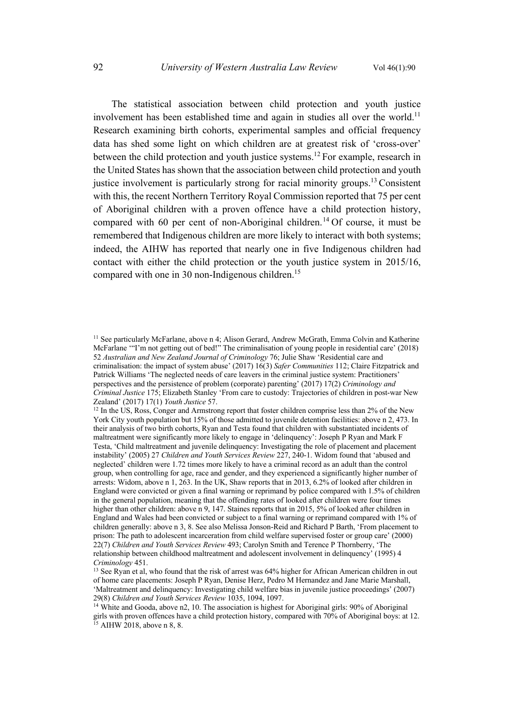The statistical association between child protection and youth justice involvement has been established time and again in studies all over the world.<sup>11</sup> Research examining birth cohorts, experimental samples and official frequency data has shed some light on which children are at greatest risk of 'cross-over' between the child protection and youth justice systems.<sup>12</sup> For example, research in the United States has shown that the association between child protection and youth justice involvement is particularly strong for racial minority groups.<sup>13</sup> Consistent with this, the recent Northern Territory Royal Commission reported that 75 per cent of Aboriginal children with a proven offence have a child protection history, compared with 60 per cent of non-Aboriginal children.<sup>14</sup> Of course, it must be remembered that Indigenous children are more likely to interact with both systems; indeed, the AIHW has reported that nearly one in five Indigenous children had contact with either the child protection or the youth justice system in 2015/16, compared with one in 30 non-Indigenous children.<sup>15</sup>

<sup>&</sup>lt;sup>11</sup> See particularly McFarlane, above n 4; Alison Gerard, Andrew McGrath, Emma Colvin and Katherine McFarlane '"I'm not getting out of bed!" The criminalisation of young people in residential care' (2018) 52 *Australian and New Zealand Journal of Criminology* 76; Julie Shaw 'Residential care and criminalisation: the impact of system abuse' (2017) 16(3) *Safer Communities* 112; Claire Fitzpatrick and Patrick Williams 'The neglected needs of care leavers in the criminal justice system: Practitioners' perspectives and the persistence of problem (corporate) parenting' (2017) 17(2) *Criminology and Criminal Justice* 175; Elizabeth Stanley 'From care to custody: Trajectories of children in post-war New Zealand' (2017) 17(1) *Youth Justice* 57.

<sup>&</sup>lt;sup>12</sup> In the US, Ross, Conger and Armstrong report that foster children comprise less than 2% of the New York City youth population but 15% of those admitted to juvenile detention facilities: above n 2, 473. In their analysis of two birth cohorts, Ryan and Testa found that children with substantiated incidents of maltreatment were significantly more likely to engage in 'delinquency': Joseph P Ryan and Mark F Testa, 'Child maltreatment and juvenile delinquency: Investigating the role of placement and placement instability' (2005) 27 *Children and Youth Services Review* 227, 240-1. Widom found that 'abused and neglected' children were 1.72 times more likely to have a criminal record as an adult than the control group, when controlling for age, race and gender, and they experienced a significantly higher number of arrests: Widom, above n 1, 263. In the UK, Shaw reports that in 2013, 6.2% of looked after children in England were convicted or given a final warning or reprimand by police compared with 1.5% of children in the general population, meaning that the offending rates of looked after children were four times higher than other children: above n 9, 147. Staines reports that in 2015, 5% of looked after children in England and Wales had been convicted or subject to a final warning or reprimand compared with 1% of children generally: above n 3, 8. See also Melissa Jonson-Reid and Richard P Barth, 'From placement to prison: The path to adolescent incarceration from child welfare supervised foster or group care' (2000) 22(7) *Children and Youth Services Review* 493; Carolyn Smith and Terence P Thornberry, 'The relationship between childhood maltreatment and adolescent involvement in delinquency' (1995) 4 *Criminology* 451.

<sup>&</sup>lt;sup>13</sup> See Ryan et al, who found that the risk of arrest was 64% higher for African American children in out of home care placements: Joseph P Ryan, Denise Herz, Pedro M Hernandez and Jane Marie Marshall, 'Maltreatment and delinquency: Investigating child welfare bias in juvenile justice proceedings' (2007) 29(8) *Children and Youth Services Review* 1035, 1094, 1097.

<sup>&</sup>lt;sup>14</sup> White and Gooda, above n2, 10. The association is highest for Aboriginal girls: 90% of Aboriginal girls with proven offences have a child protection history, compared with 70% of Aboriginal boys: at 12.  $15$  AIHW 2018, above n 8, 8.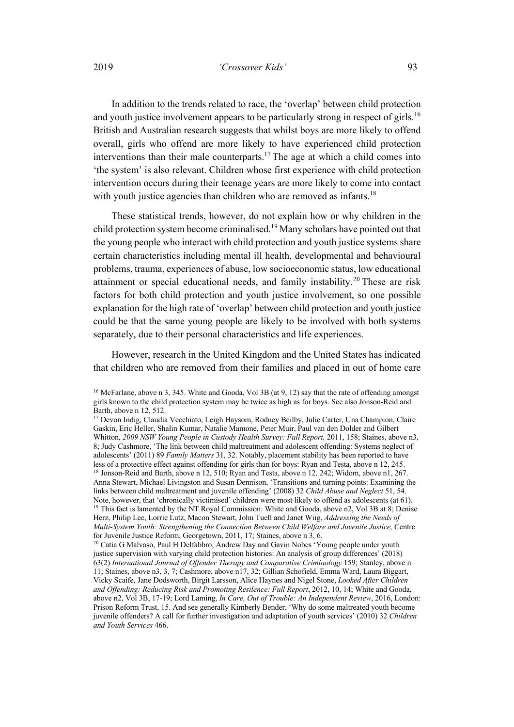## 2019 *'Crossover Kids'* 93

In addition to the trends related to race, the 'overlap' between child protection and youth justice involvement appears to be particularly strong in respect of girls.<sup>16</sup> British and Australian research suggests that whilst boys are more likely to offend overall, girls who offend are more likely to have experienced child protection interventions than their male counterparts.<sup>17</sup> The age at which a child comes into 'the system' is also relevant. Children whose first experience with child protection intervention occurs during their teenage years are more likely to come into contact with youth justice agencies than children who are removed as infants.<sup>18</sup>

These statistical trends, however, do not explain how or why children in the child protection system become criminalised.19 Many scholars have pointed out that the young people who interact with child protection and youth justice systems share certain characteristics including mental ill health, developmental and behavioural problems, trauma, experiences of abuse, low socioeconomic status, low educational attainment or special educational needs, and family instability.<sup>20</sup> These are risk factors for both child protection and youth justice involvement, so one possible explanation for the high rate of 'overlap' between child protection and youth justice could be that the same young people are likely to be involved with both systems separately, due to their personal characteristics and life experiences.

However, research in the United Kingdom and the United States has indicated that children who are removed from their families and placed in out of home care

<sup>&</sup>lt;sup>16</sup> McFarlane, above n 3, 345. White and Gooda, Vol 3B (at 9, 12) say that the rate of offending amongst girls known to the child protection system may be twice as high as for boys. See also Jonson-Reid and Barth, above n 12, 512.

<sup>17</sup> Devon Indig, Claudia Vecchiato, Leigh Haysom, Rodney Beilby, Julie Carter, Una Champion, Claire Gaskin, Eric Heller, Shalin Kumar, Natalie Mamone, Peter Muir, Paul van den Dolder and Gilbert Whitton, *2009 NSW Young People in Custody Health Survey: Full Report,* 2011, 158; Staines, above n3, 8; Judy Cashmore, 'The link between child maltreatment and adolescent offending: Systems neglect of adolescents' (2011) 89 *Family Matters* 31, 32. Notably, placement stability has been reported to have less of a protective effect against offending for girls than for boys: Ryan and Testa, above n 12, 245. <sup>18</sup> Jonson-Reid and Barth, above n 12, 510; Ryan and Testa, above n 12, 242; Widom, above n1, 267. Anna Stewart, Michael Livingston and Susan Dennison, 'Transitions and turning points: Examining the links between child maltreatment and juvenile offending' (2008) 32 *Child Abuse and Neglect* 51, 54. <sup>19</sup> This fact is lamented by the NT Royal Commission: White and Gooda, above n2, Vol 3B at 8; Denise Herz, Philip Lee, Lorrie Lutz, Macon Stewart, John Tuell and Janet Wiig, *Addressing the Needs of Multi-System Youth: Strengthening the Connection Between Child Welfare and Juvenile Justice,* Centre for Juvenile Justice Reform, Georgetown, 2011, 17; Staines, above n 3, 6.

<sup>&</sup>lt;sup>20</sup> Catia G Malvaso, Paul H Delfabbro, Andrew Day and Gavin Nobes 'Young people under youth justice supervision with varying child protection histories: An analysis of group differences' (2018) 63(2) *International Journal of Offender Therapy and Comparative Criminology* 159; Stanley, above n 11; Staines, above n3, 3, 7; Cashmore, above n17, 32; Gillian Schofield, Emma Ward, Laura Biggart, Vicky Scaife, Jane Dodsworth, Birgit Larsson, Alice Haynes and Nigel Stone, *Looked After Children and Offending: Reducing Risk and Promoting Resilence: Full Report*, 2012, 10, 14; White and Gooda, above n2, Vol 3B, 17-19; Lord Laming, *In Care, Out of Trouble: An Independent Review*, 2016, London: Prison Reform Trust, 15. And see generally Kimberly Bender, 'Why do some maltreated youth become juvenile offenders? A call for further investigation and adaptation of youth services' (2010) 32 *Children and Youth Services* 466.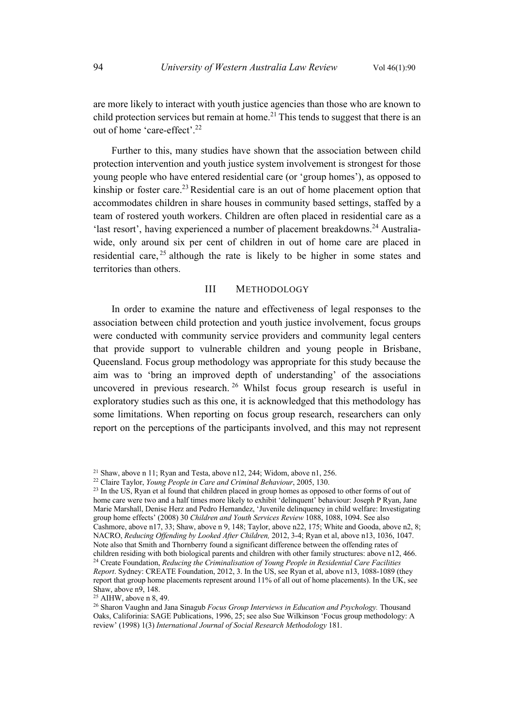are more likely to interact with youth justice agencies than those who are known to child protection services but remain at home.<sup>21</sup> This tends to suggest that there is an out of home 'care-effect'.22

Further to this, many studies have shown that the association between child protection intervention and youth justice system involvement is strongest for those young people who have entered residential care (or 'group homes'), as opposed to kinship or foster care.<sup>23</sup> Residential care is an out of home placement option that accommodates children in share houses in community based settings, staffed by a team of rostered youth workers. Children are often placed in residential care as a 'last resort', having experienced a number of placement breakdowns.<sup>24</sup> Australiawide, only around six per cent of children in out of home care are placed in residential care, <sup>25</sup> although the rate is likely to be higher in some states and territories than others.

# III METHODOLOGY

In order to examine the nature and effectiveness of legal responses to the association between child protection and youth justice involvement, focus groups were conducted with community service providers and community legal centers that provide support to vulnerable children and young people in Brisbane, Queensland. Focus group methodology was appropriate for this study because the aim was to 'bring an improved depth of understanding' of the associations uncovered in previous research.<sup>26</sup> Whilst focus group research is useful in exploratory studies such as this one, it is acknowledged that this methodology has some limitations. When reporting on focus group research, researchers can only report on the perceptions of the participants involved, and this may not represent

<sup>&</sup>lt;sup>21</sup> Shaw, above n 11; Ryan and Testa, above n  $12$ , 244; Widom, above n  $1$ , 256.

<sup>22</sup> Claire Taylor, *Young People in Care and Criminal Behaviour*, 2005, 130.

<sup>&</sup>lt;sup>23</sup> In the US, Ryan et al found that children placed in group homes as opposed to other forms of out of home care were two and a half times more likely to exhibit 'delinquent' behaviour: Joseph P Ryan, Jane Marie Marshall, Denise Herz and Pedro Hernandez, 'Juvenile delinquency in child welfare: Investigating group home effects' (2008) 30 *Children and Youth Services Review* 1088, 1088, 1094. See also Cashmore, above n17, 33; Shaw, above n 9, 148; Taylor, above n 22, 175; White and Gooda, above n 2, 8; NACRO, *Reducing Offending by Looked After Children,* 2012, 3-4; Ryan et al, above n13, 1036, 1047. Note also that Smith and Thornberry found a significant difference between the offending rates of children residing with both biological parents and children with other family structures: above n12, 466. <sup>24</sup> Create Foundation, *Reducing the Criminalisation of Young People in Residential Care Facilities Report*. Sydney: CREATE Foundation, 2012, 3. In the US, see Ryan et al, above n13, 1088-1089 (they report that group home placements represent around 11% of all out of home placements). In the UK, see Shaw, above n9, 148.

 $25$  AIHW, above n 8, 49.

<sup>26</sup> Sharon Vaughn and Jana Sinagub *Focus Group Interviews in Education and Psychology.* Thousand Oaks, Califorinia: SAGE Publications, 1996, 25; see also Sue Wilkinson 'Focus group methodology: A review' (1998) 1(3) *International Journal of Social Research Methodology* 181.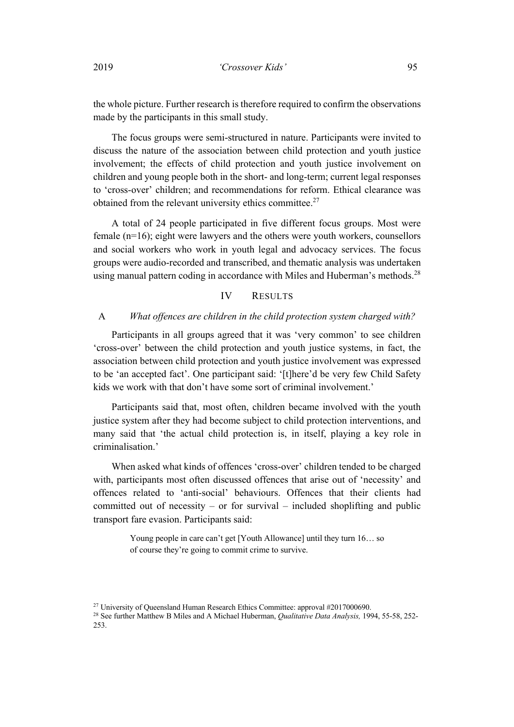the whole picture. Further research is therefore required to confirm the observations made by the participants in this small study.

The focus groups were semi-structured in nature. Participants were invited to discuss the nature of the association between child protection and youth justice involvement; the effects of child protection and youth justice involvement on children and young people both in the short- and long-term; current legal responses to 'cross-over' children; and recommendations for reform. Ethical clearance was obtained from the relevant university ethics committee.<sup>27</sup>

A total of 24 people participated in five different focus groups. Most were female (n=16); eight were lawyers and the others were youth workers, counsellors and social workers who work in youth legal and advocacy services. The focus groups were audio-recorded and transcribed, and thematic analysis was undertaken using manual pattern coding in accordance with Miles and Huberman's methods.<sup>28</sup>

### IV RESULTS

#### A *What offences are children in the child protection system charged with?*

Participants in all groups agreed that it was 'very common' to see children 'cross-over' between the child protection and youth justice systems, in fact, the association between child protection and youth justice involvement was expressed to be 'an accepted fact'. One participant said: '[t]here'd be very few Child Safety kids we work with that don't have some sort of criminal involvement.'

Participants said that, most often, children became involved with the youth justice system after they had become subject to child protection interventions, and many said that 'the actual child protection is, in itself, playing a key role in criminalisation.'

When asked what kinds of offences 'cross-over' children tended to be charged with, participants most often discussed offences that arise out of 'necessity' and offences related to 'anti-social' behaviours. Offences that their clients had committed out of necessity – or for survival – included shoplifting and public transport fare evasion. Participants said:

> Young people in care can't get [Youth Allowance] until they turn 16… so of course they're going to commit crime to survive.

<sup>&</sup>lt;sup>27</sup> University of Queensland Human Research Ethics Committee: approval #2017000690.

<sup>28</sup> See further Matthew B Miles and A Michael Huberman, *Qualitative Data Analysis,* 1994, 55-58, 252- 253.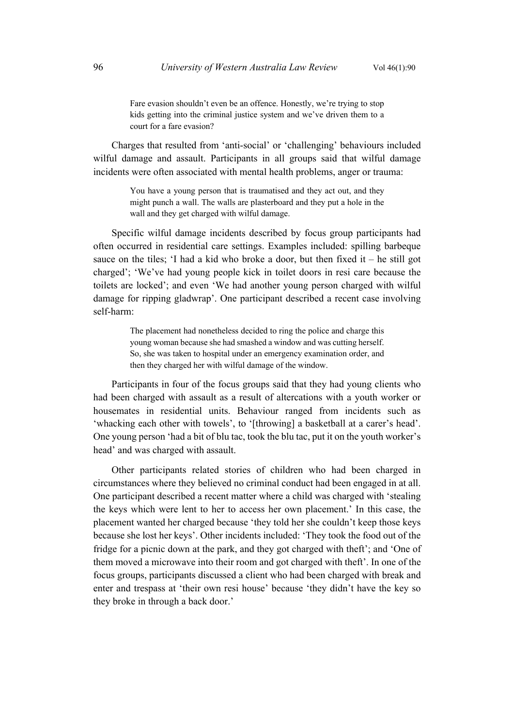Fare evasion shouldn't even be an offence. Honestly, we're trying to stop kids getting into the criminal justice system and we've driven them to a court for a fare evasion?

Charges that resulted from 'anti-social' or 'challenging' behaviours included wilful damage and assault. Participants in all groups said that wilful damage incidents were often associated with mental health problems, anger or trauma:

> You have a young person that is traumatised and they act out, and they might punch a wall. The walls are plasterboard and they put a hole in the wall and they get charged with wilful damage.

Specific wilful damage incidents described by focus group participants had often occurred in residential care settings. Examples included: spilling barbeque sauce on the tiles; 'I had a kid who broke a door, but then fixed it – he still got charged'; 'We've had young people kick in toilet doors in resi care because the toilets are locked'; and even 'We had another young person charged with wilful damage for ripping gladwrap'. One participant described a recent case involving self-harm:

> The placement had nonetheless decided to ring the police and charge this young woman because she had smashed a window and was cutting herself. So, she was taken to hospital under an emergency examination order, and then they charged her with wilful damage of the window.

Participants in four of the focus groups said that they had young clients who had been charged with assault as a result of altercations with a youth worker or housemates in residential units. Behaviour ranged from incidents such as 'whacking each other with towels', to '[throwing] a basketball at a carer's head'. One young person 'had a bit of blu tac, took the blu tac, put it on the youth worker's head' and was charged with assault.

Other participants related stories of children who had been charged in circumstances where they believed no criminal conduct had been engaged in at all. One participant described a recent matter where a child was charged with 'stealing the keys which were lent to her to access her own placement.' In this case, the placement wanted her charged because 'they told her she couldn't keep those keys because she lost her keys'. Other incidents included: 'They took the food out of the fridge for a picnic down at the park, and they got charged with theft'; and 'One of them moved a microwave into their room and got charged with theft'. In one of the focus groups, participants discussed a client who had been charged with break and enter and trespass at 'their own resi house' because 'they didn't have the key so they broke in through a back door.'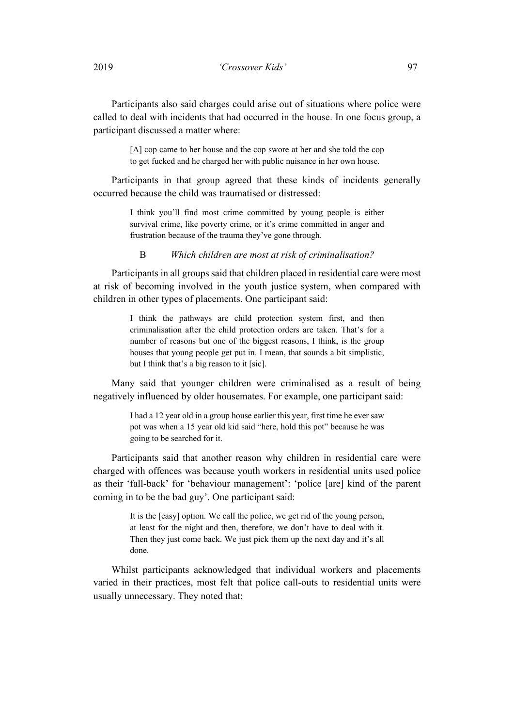Participants also said charges could arise out of situations where police were called to deal with incidents that had occurred in the house. In one focus group, a participant discussed a matter where:

> [A] cop came to her house and the cop swore at her and she told the cop to get fucked and he charged her with public nuisance in her own house.

Participants in that group agreed that these kinds of incidents generally occurred because the child was traumatised or distressed:

> I think you'll find most crime committed by young people is either survival crime, like poverty crime, or it's crime committed in anger and frustration because of the trauma they've gone through.

B *Which children are most at risk of criminalisation?*

Participants in all groups said that children placed in residential care were most at risk of becoming involved in the youth justice system, when compared with children in other types of placements. One participant said:

> I think the pathways are child protection system first, and then criminalisation after the child protection orders are taken. That's for a number of reasons but one of the biggest reasons, I think, is the group houses that young people get put in. I mean, that sounds a bit simplistic, but I think that's a big reason to it [sic].

Many said that younger children were criminalised as a result of being negatively influenced by older housemates. For example, one participant said:

> I had a 12 year old in a group house earlier this year, first time he ever saw pot was when a 15 year old kid said "here, hold this pot" because he was going to be searched for it.

Participants said that another reason why children in residential care were charged with offences was because youth workers in residential units used police as their 'fall-back' for 'behaviour management': 'police [are] kind of the parent coming in to be the bad guy'. One participant said:

> It is the [easy] option. We call the police, we get rid of the young person, at least for the night and then, therefore, we don't have to deal with it. Then they just come back. We just pick them up the next day and it's all done.

Whilst participants acknowledged that individual workers and placements varied in their practices, most felt that police call-outs to residential units were usually unnecessary. They noted that: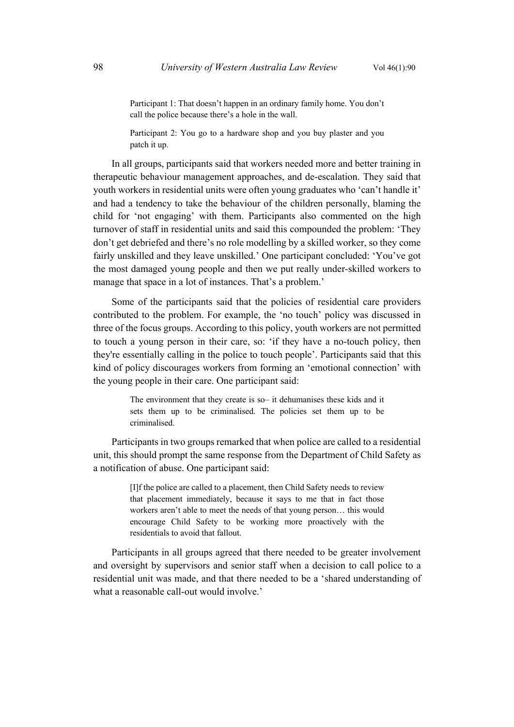Participant 1: That doesn't happen in an ordinary family home. You don't call the police because there's a hole in the wall.

Participant 2: You go to a hardware shop and you buy plaster and you patch it up.

In all groups, participants said that workers needed more and better training in therapeutic behaviour management approaches, and de-escalation. They said that youth workers in residential units were often young graduates who 'can't handle it' and had a tendency to take the behaviour of the children personally, blaming the child for 'not engaging' with them. Participants also commented on the high turnover of staff in residential units and said this compounded the problem: 'They don't get debriefed and there's no role modelling by a skilled worker, so they come fairly unskilled and they leave unskilled.' One participant concluded: 'You've got the most damaged young people and then we put really under-skilled workers to manage that space in a lot of instances. That's a problem.'

Some of the participants said that the policies of residential care providers contributed to the problem. For example, the 'no touch' policy was discussed in three of the focus groups. According to this policy, youth workers are not permitted to touch a young person in their care, so: 'if they have a no-touch policy, then they're essentially calling in the police to touch people'. Participants said that this kind of policy discourages workers from forming an 'emotional connection' with the young people in their care. One participant said:

> The environment that they create is so– it dehumanises these kids and it sets them up to be criminalised. The policies set them up to be criminalised.

Participants in two groups remarked that when police are called to a residential unit, this should prompt the same response from the Department of Child Safety as a notification of abuse. One participant said:

> [I]f the police are called to a placement, then Child Safety needs to review that placement immediately, because it says to me that in fact those workers aren't able to meet the needs of that young person… this would encourage Child Safety to be working more proactively with the residentials to avoid that fallout.

Participants in all groups agreed that there needed to be greater involvement and oversight by supervisors and senior staff when a decision to call police to a residential unit was made, and that there needed to be a 'shared understanding of what a reasonable call-out would involve.'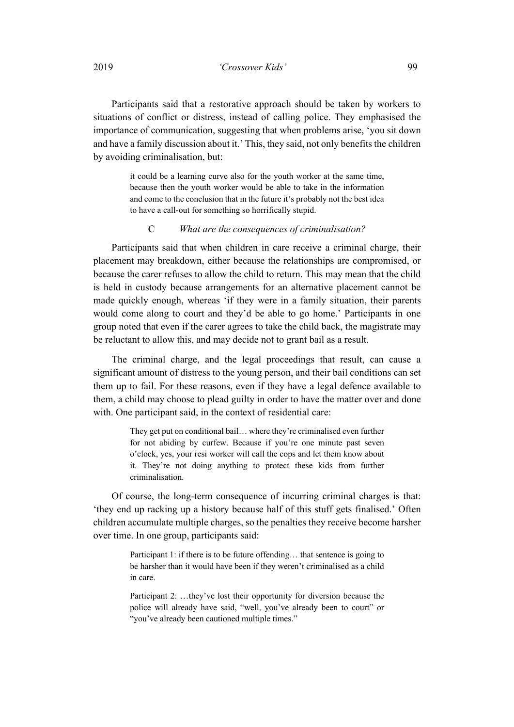Participants said that a restorative approach should be taken by workers to situations of conflict or distress, instead of calling police. They emphasised the importance of communication, suggesting that when problems arise, 'you sit down and have a family discussion about it.' This, they said, not only benefits the children by avoiding criminalisation, but:

> it could be a learning curve also for the youth worker at the same time, because then the youth worker would be able to take in the information and come to the conclusion that in the future it's probably not the best idea to have a call-out for something so horrifically stupid.

#### C *What are the consequences of criminalisation?*

Participants said that when children in care receive a criminal charge, their placement may breakdown, either because the relationships are compromised, or because the carer refuses to allow the child to return. This may mean that the child is held in custody because arrangements for an alternative placement cannot be made quickly enough, whereas 'if they were in a family situation, their parents would come along to court and they'd be able to go home.' Participants in one group noted that even if the carer agrees to take the child back, the magistrate may be reluctant to allow this, and may decide not to grant bail as a result.

The criminal charge, and the legal proceedings that result, can cause a significant amount of distress to the young person, and their bail conditions can set them up to fail. For these reasons, even if they have a legal defence available to them, a child may choose to plead guilty in order to have the matter over and done with. One participant said, in the context of residential care:

> They get put on conditional bail… where they're criminalised even further for not abiding by curfew. Because if you're one minute past seven o'clock, yes, your resi worker will call the cops and let them know about it. They're not doing anything to protect these kids from further criminalisation.

Of course, the long-term consequence of incurring criminal charges is that: 'they end up racking up a history because half of this stuff gets finalised.' Often children accumulate multiple charges, so the penalties they receive become harsher over time. In one group, participants said:

> Participant 1: if there is to be future offending... that sentence is going to be harsher than it would have been if they weren't criminalised as a child in care.

> Participant 2: …they've lost their opportunity for diversion because the police will already have said, "well, you've already been to court" or "you've already been cautioned multiple times."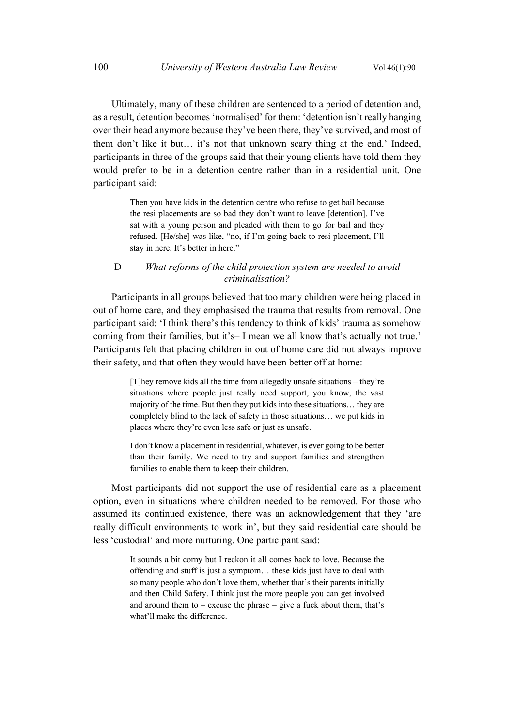Ultimately, many of these children are sentenced to a period of detention and, as a result, detention becomes 'normalised' for them: 'detention isn't really hanging over their head anymore because they've been there, they've survived, and most of them don't like it but… it's not that unknown scary thing at the end.' Indeed, participants in three of the groups said that their young clients have told them they would prefer to be in a detention centre rather than in a residential unit. One participant said:

> Then you have kids in the detention centre who refuse to get bail because the resi placements are so bad they don't want to leave [detention]. I've sat with a young person and pleaded with them to go for bail and they refused. [He/she] was like, "no, if I'm going back to resi placement, I'll stay in here. It's better in here."

## D *What reforms of the child protection system are needed to avoid criminalisation?*

Participants in all groups believed that too many children were being placed in out of home care, and they emphasised the trauma that results from removal. One participant said: 'I think there's this tendency to think of kids' trauma as somehow coming from their families, but it's– I mean we all know that's actually not true.' Participants felt that placing children in out of home care did not always improve their safety, and that often they would have been better off at home:

> [T]hey remove kids all the time from allegedly unsafe situations – they're situations where people just really need support, you know, the vast majority of the time. But then they put kids into these situations… they are completely blind to the lack of safety in those situations… we put kids in places where they're even less safe or just as unsafe.

> I don't know a placement in residential, whatever, is ever going to be better than their family. We need to try and support families and strengthen families to enable them to keep their children.

Most participants did not support the use of residential care as a placement option, even in situations where children needed to be removed. For those who assumed its continued existence, there was an acknowledgement that they 'are really difficult environments to work in', but they said residential care should be less 'custodial' and more nurturing. One participant said:

> It sounds a bit corny but I reckon it all comes back to love. Because the offending and stuff is just a symptom… these kids just have to deal with so many people who don't love them, whether that's their parents initially and then Child Safety. I think just the more people you can get involved and around them to – excuse the phrase – give a fuck about them, that's what'll make the difference.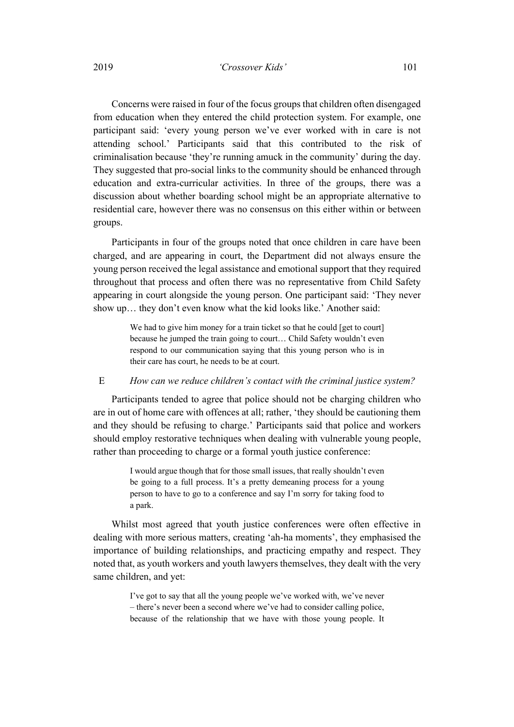## 2019 *'Crossover Kids'* 101

Concerns were raised in four of the focus groups that children often disengaged from education when they entered the child protection system. For example, one participant said: 'every young person we've ever worked with in care is not attending school.' Participants said that this contributed to the risk of criminalisation because 'they're running amuck in the community' during the day. They suggested that pro-social links to the community should be enhanced through education and extra-curricular activities. In three of the groups, there was a discussion about whether boarding school might be an appropriate alternative to residential care, however there was no consensus on this either within or between groups.

Participants in four of the groups noted that once children in care have been charged, and are appearing in court, the Department did not always ensure the young person received the legal assistance and emotional support that they required throughout that process and often there was no representative from Child Safety appearing in court alongside the young person. One participant said: 'They never show up… they don't even know what the kid looks like.' Another said:

> We had to give him money for a train ticket so that he could [get to court] because he jumped the train going to court… Child Safety wouldn't even respond to our communication saying that this young person who is in their care has court, he needs to be at court.

#### E *How can we reduce children's contact with the criminal justice system?*

Participants tended to agree that police should not be charging children who are in out of home care with offences at all; rather, 'they should be cautioning them and they should be refusing to charge.' Participants said that police and workers should employ restorative techniques when dealing with vulnerable young people, rather than proceeding to charge or a formal youth justice conference:

> I would argue though that for those small issues, that really shouldn't even be going to a full process. It's a pretty demeaning process for a young person to have to go to a conference and say I'm sorry for taking food to a park.

Whilst most agreed that youth justice conferences were often effective in dealing with more serious matters, creating 'ah-ha moments', they emphasised the importance of building relationships, and practicing empathy and respect. They noted that, as youth workers and youth lawyers themselves, they dealt with the very same children, and yet:

> I've got to say that all the young people we've worked with, we've never – there's never been a second where we've had to consider calling police, because of the relationship that we have with those young people. It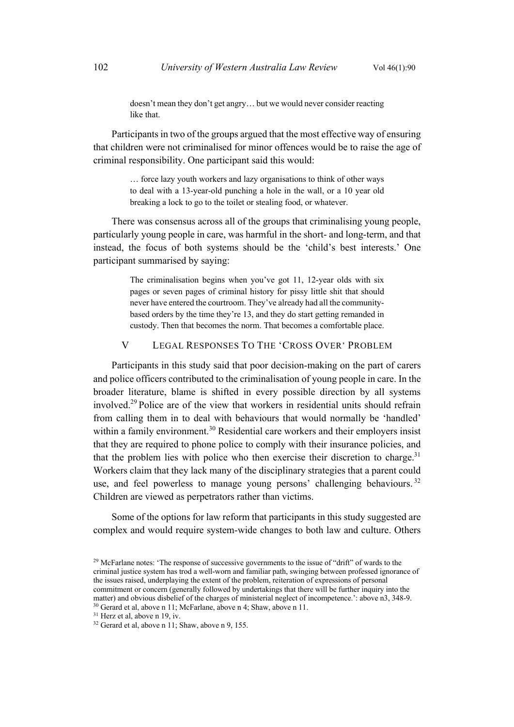doesn't mean they don't get angry… but we would never consider reacting like that.

Participants in two of the groups argued that the most effective way of ensuring that children were not criminalised for minor offences would be to raise the age of criminal responsibility. One participant said this would:

> … force lazy youth workers and lazy organisations to think of other ways to deal with a 13-year-old punching a hole in the wall, or a 10 year old breaking a lock to go to the toilet or stealing food, or whatever.

There was consensus across all of the groups that criminalising young people, particularly young people in care, was harmful in the short- and long-term, and that instead, the focus of both systems should be the 'child's best interests.' One participant summarised by saying:

> The criminalisation begins when you've got 11, 12-year olds with six pages or seven pages of criminal history for pissy little shit that should never have entered the courtroom. They've already had all the communitybased orders by the time they're 13, and they do start getting remanded in custody. Then that becomes the norm. That becomes a comfortable place.

V LEGAL RESPONSES TO THE 'CROSS OVER' PROBLEM

Participants in this study said that poor decision-making on the part of carers and police officers contributed to the criminalisation of young people in care. In the broader literature, blame is shifted in every possible direction by all systems involved.<sup>29</sup> Police are of the view that workers in residential units should refrain from calling them in to deal with behaviours that would normally be 'handled' within a family environment.<sup>30</sup> Residential care workers and their employers insist that they are required to phone police to comply with their insurance policies, and that the problem lies with police who then exercise their discretion to charge.<sup>31</sup> Workers claim that they lack many of the disciplinary strategies that a parent could use, and feel powerless to manage young persons' challenging behaviours.<sup>32</sup> Children are viewed as perpetrators rather than victims.

Some of the options for law reform that participants in this study suggested are complex and would require system-wide changes to both law and culture. Others

<sup>&</sup>lt;sup>29</sup> McFarlane notes: 'The response of successive governments to the issue of "drift" of wards to the criminal justice system has trod a well-worn and familiar path, swinging between professed ignorance of the issues raised, underplaying the extent of the problem, reiteration of expressions of personal commitment or concern (generally followed by undertakings that there will be further inquiry into the matter) and obvious disbelief of the charges of ministerial neglect of incompetence.': above n3, 348-9.

<sup>30</sup> Gerard et al, above n 11; McFarlane, above n 4; Shaw, above n 11.

<sup>&</sup>lt;sup>31</sup> Herz et al, above n 19, iv.

 $32$  Gerard et al, above n 11; Shaw, above n 9, 155.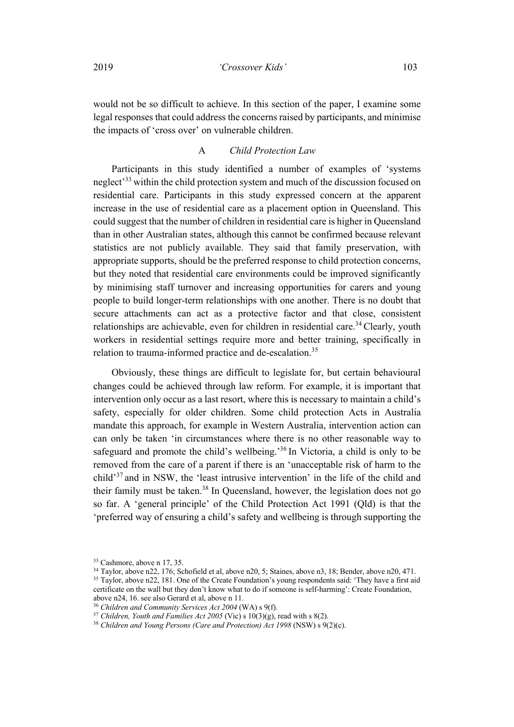would not be so difficult to achieve. In this section of the paper, I examine some legal responses that could address the concerns raised by participants, and minimise the impacts of 'cross over' on vulnerable children.

## A *Child Protection Law*

Participants in this study identified a number of examples of 'systems neglect<sup>333</sup> within the child protection system and much of the discussion focused on residential care. Participants in this study expressed concern at the apparent increase in the use of residential care as a placement option in Queensland. This could suggest that the number of children in residential care is higher in Queensland than in other Australian states, although this cannot be confirmed because relevant statistics are not publicly available. They said that family preservation, with appropriate supports, should be the preferred response to child protection concerns, but they noted that residential care environments could be improved significantly by minimising staff turnover and increasing opportunities for carers and young people to build longer-term relationships with one another. There is no doubt that secure attachments can act as a protective factor and that close, consistent relationships are achievable, even for children in residential care.<sup>34</sup> Clearly, youth workers in residential settings require more and better training, specifically in relation to trauma-informed practice and de-escalation.<sup>35</sup>

Obviously, these things are difficult to legislate for, but certain behavioural changes could be achieved through law reform. For example, it is important that intervention only occur as a last resort, where this is necessary to maintain a child's safety, especially for older children. Some child protection Acts in Australia mandate this approach, for example in Western Australia, intervention action can can only be taken 'in circumstances where there is no other reasonable way to safeguard and promote the child's wellbeing.'36 In Victoria, a child is only to be removed from the care of a parent if there is an 'unacceptable risk of harm to the child'<sup>37</sup> and in NSW, the 'least intrusive intervention' in the life of the child and their family must be taken.<sup>38</sup> In Queensland, however, the legislation does not go so far. A 'general principle' of the Child Protection Act 1991 (Qld) is that the 'preferred way of ensuring a child's safety and wellbeing is through supporting the

<sup>33</sup> Cashmore, above n 17, 35.

<sup>34</sup> Taylor, above n22, 176; Schofield et al, above n20, 5; Staines, above n3, 18; Bender, above n20, 471.

<sup>&</sup>lt;sup>35</sup> Taylor, above n22, 181. One of the Create Foundation's young respondents said: 'They have a first aid certificate on the wall but they don't know what to do if someone is self-harming': Create Foundation, above n24, 16. see also Gerard et al, above n 11.

<sup>36</sup> *Children and Community Services Act 2004* (WA) s 9(f).

<sup>37</sup> *Children, Youth and Families Act 2005* (Vic) s 10(3)(g), read with s 8(2).

<sup>&</sup>lt;sup>38</sup> *Children and Young Persons (Care and Protection) Act 1998* (NSW) s 9(2)(c).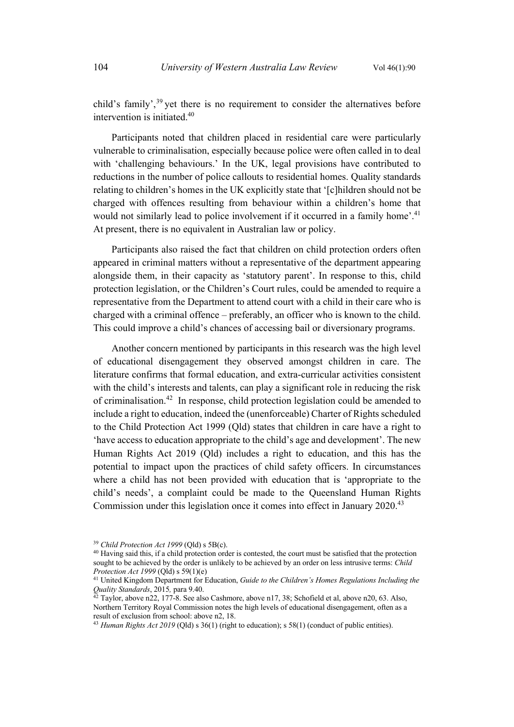child's family',<sup>39</sup> yet there is no requirement to consider the alternatives before intervention is initiated.40

Participants noted that children placed in residential care were particularly vulnerable to criminalisation, especially because police were often called in to deal with 'challenging behaviours.' In the UK, legal provisions have contributed to reductions in the number of police callouts to residential homes. Quality standards relating to children's homes in the UK explicitly state that '[c]hildren should not be charged with offences resulting from behaviour within a children's home that would not similarly lead to police involvement if it occurred in a family home'.41 At present, there is no equivalent in Australian law or policy.

Participants also raised the fact that children on child protection orders often appeared in criminal matters without a representative of the department appearing alongside them, in their capacity as 'statutory parent'. In response to this, child protection legislation, or the Children's Court rules, could be amended to require a representative from the Department to attend court with a child in their care who is charged with a criminal offence – preferably, an officer who is known to the child. This could improve a child's chances of accessing bail or diversionary programs.

Another concern mentioned by participants in this research was the high level of educational disengagement they observed amongst children in care. The literature confirms that formal education, and extra-curricular activities consistent with the child's interests and talents, can play a significant role in reducing the risk of criminalisation.42 In response, child protection legislation could be amended to include a right to education, indeed the (unenforceable) Charter of Rights scheduled to the Child Protection Act 1999 (Qld) states that children in care have a right to 'have access to education appropriate to the child's age and development'. The new Human Rights Act 2019 (Qld) includes a right to education, and this has the potential to impact upon the practices of child safety officers. In circumstances where a child has not been provided with education that is 'appropriate to the child's needs', a complaint could be made to the Queensland Human Rights Commission under this legislation once it comes into effect in January 2020.<sup>43</sup>

<sup>39</sup> *Child Protection Act 1999* (Qld) s 5B(c).

<sup>&</sup>lt;sup>40</sup> Having said this, if a child protection order is contested, the court must be satisfied that the protection sought to be achieved by the order is unlikely to be achieved by an order on less intrusive terms: *Child* 

*Protection Act 1999* (Qld) s 59(1)(e)<br><sup>41</sup> United Kingdom Department for Education, *Guide to the Children's Homes Regulations Including the Quality Standards*, 2015*,* para 9.40.

 $42$  Taylor, above n22, 177-8. See also Cashmore, above n17, 38; Schofield et al, above n20, 63. Also, Northern Territory Royal Commission notes the high levels of educational disengagement, often as a result of exclusion from school: above n2, 18.

<sup>&</sup>lt;sup>43</sup> *Human Rights Act 2019* (Qld) s 36(1) (right to education); s 58(1) (conduct of public entities).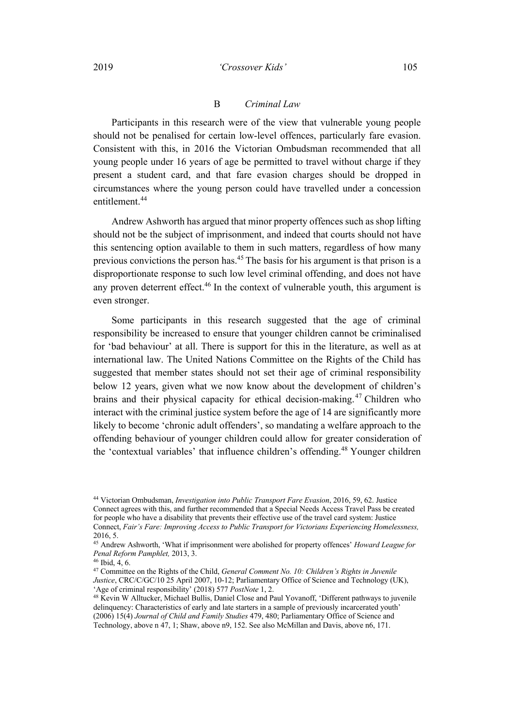#### 2019 *'Crossover Kids'* 105

#### B *Criminal Law*

Participants in this research were of the view that vulnerable young people should not be penalised for certain low-level offences, particularly fare evasion. Consistent with this, in 2016 the Victorian Ombudsman recommended that all young people under 16 years of age be permitted to travel without charge if they present a student card, and that fare evasion charges should be dropped in circumstances where the young person could have travelled under a concession entitlement.<sup>44</sup>

Andrew Ashworth has argued that minor property offences such as shop lifting should not be the subject of imprisonment, and indeed that courts should not have this sentencing option available to them in such matters, regardless of how many previous convictions the person has.45 The basis for his argument is that prison is a disproportionate response to such low level criminal offending, and does not have any proven deterrent effect.<sup>46</sup> In the context of vulnerable youth, this argument is even stronger.

Some participants in this research suggested that the age of criminal responsibility be increased to ensure that younger children cannot be criminalised for 'bad behaviour' at all. There is support for this in the literature, as well as at international law. The United Nations Committee on the Rights of the Child has suggested that member states should not set their age of criminal responsibility below 12 years, given what we now know about the development of children's brains and their physical capacity for ethical decision-making. <sup>47</sup> Children who interact with the criminal justice system before the age of 14 are significantly more likely to become 'chronic adult offenders', so mandating a welfare approach to the offending behaviour of younger children could allow for greater consideration of the 'contextual variables' that influence children's offending.<sup>48</sup> Younger children

<sup>44</sup> Victorian Ombudsman, *Investigation into Public Transport Fare Evasion*, 2016, 59, 62. Justice Connect agrees with this, and further recommended that a Special Needs Access Travel Pass be created for people who have a disability that prevents their effective use of the travel card system: Justice Connect, *Fair's Fare: Improving Access to Public Transport for Victorians Experiencing Homelessness,*  2016, 5.

<sup>45</sup> Andrew Ashworth, 'What if imprisonment were abolished for property offences' *Howard League for Penal Reform Pamphlet,* 2013, 3.

 $46$  Ibid,  $4, 6$ .

<sup>47</sup> Committee on the Rights of the Child, *General Comment No. 10: Children's Rights in Juvenile Justice*, CRC/C/GC/10 25 April 2007, 10-12; Parliamentary Office of Science and Technology (UK), 'Age of criminal responsibility' (2018) 577 *PostNote* 1, 2.

<sup>&</sup>lt;sup>48</sup> Kevin W Alltucker, Michael Bullis, Daniel Close and Paul Yovanoff, 'Different pathways to juvenile delinquency: Characteristics of early and late starters in a sample of previously incarcerated youth' (2006) 15(4) *Journal of Child and Family Studies* 479, 480; Parliamentary Office of Science and Technology, above n 47, 1; Shaw, above n9, 152. See also McMillan and Davis, above n6, 171.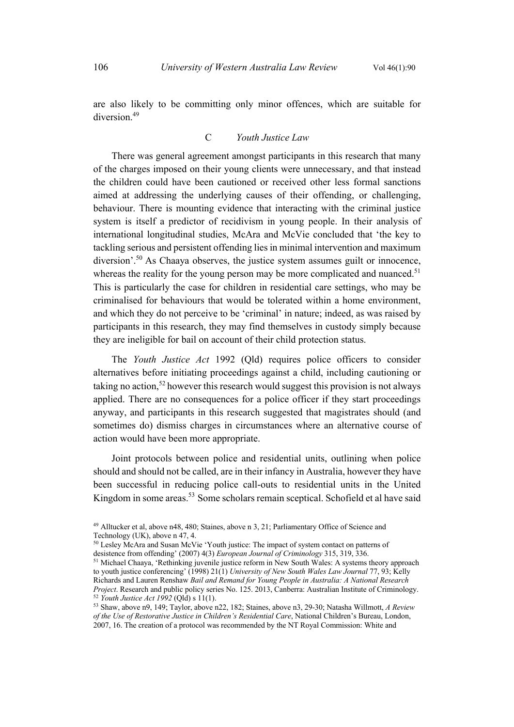are also likely to be committing only minor offences, which are suitable for diversion<sup>49</sup>

# C *Youth Justice Law*

There was general agreement amongst participants in this research that many of the charges imposed on their young clients were unnecessary, and that instead the children could have been cautioned or received other less formal sanctions aimed at addressing the underlying causes of their offending, or challenging, behaviour. There is mounting evidence that interacting with the criminal justice system is itself a predictor of recidivism in young people. In their analysis of international longitudinal studies, McAra and McVie concluded that 'the key to tackling serious and persistent offending lies in minimal intervention and maximum diversion'.<sup>50</sup> As Chaaya observes, the justice system assumes guilt or innocence, whereas the reality for the young person may be more complicated and nuanced.<sup>51</sup> This is particularly the case for children in residential care settings, who may be criminalised for behaviours that would be tolerated within a home environment, and which they do not perceive to be 'criminal' in nature; indeed, as was raised by participants in this research, they may find themselves in custody simply because they are ineligible for bail on account of their child protection status.

The *Youth Justice Act* 1992 (Qld) requires police officers to consider alternatives before initiating proceedings against a child, including cautioning or taking no action,<sup>52</sup> however this research would suggest this provision is not always applied. There are no consequences for a police officer if they start proceedings anyway, and participants in this research suggested that magistrates should (and sometimes do) dismiss charges in circumstances where an alternative course of action would have been more appropriate.

Joint protocols between police and residential units, outlining when police should and should not be called, are in their infancy in Australia, however they have been successful in reducing police call-outs to residential units in the United Kingdom in some areas.<sup>53</sup> Some scholars remain sceptical. Schofield et al have said

<sup>49</sup> Alltucker et al, above n48, 480; Staines, above n 3, 21; Parliamentary Office of Science and Technology (UK), above n 47, 4.

<sup>50</sup> Lesley McAra and Susan McVie 'Youth justice: The impact of system contact on patterns of desistence from offending' (2007) 4(3) *European Journal of Criminology* 315, 319, 336.

<sup>51</sup> Michael Chaaya, 'Rethinking juvenile justice reform in New South Wales: A systems theory approach to youth justice conferencing' (1998) 21(1) *University of New South Wales Law Journal* 77, 93; Kelly Richards and Lauren Renshaw *Bail and Remand for Young People in Australia: A National Research Project*. Research and public policy series No. 125. 2013, Canberra: Australian Institute of Criminology. <sup>52</sup> *Youth Justice Act 1992* (Qld) s 11(1).

<sup>53</sup> Shaw, above n9, 149; Taylor, above n22, 182; Staines, above n3, 29-30; Natasha Willmott, *A Review of the Use of Restorative Justice in Children's Residential Care*, National Children's Bureau, London, 2007, 16. The creation of a protocol was recommended by the NT Royal Commission: White and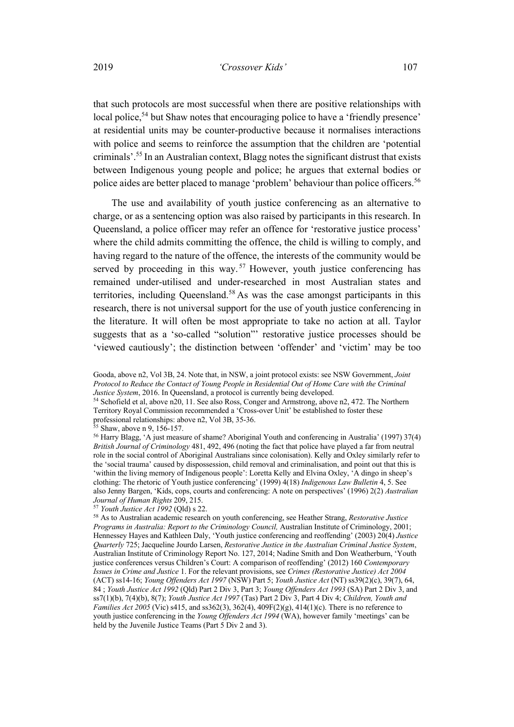that such protocols are most successful when there are positive relationships with local police,<sup>54</sup> but Shaw notes that encouraging police to have a 'friendly presence' at residential units may be counter-productive because it normalises interactions with police and seems to reinforce the assumption that the children are 'potential criminals'.55 In an Australian context, Blagg notes the significant distrust that exists between Indigenous young people and police; he argues that external bodies or police aides are better placed to manage 'problem' behaviour than police officers.<sup>56</sup>

The use and availability of youth justice conferencing as an alternative to charge, or as a sentencing option was also raised by participants in this research. In Queensland, a police officer may refer an offence for 'restorative justice process' where the child admits committing the offence, the child is willing to comply, and having regard to the nature of the offence, the interests of the community would be served by proceeding in this way.<sup>57</sup> However, youth justice conferencing has remained under-utilised and under-researched in most Australian states and territories, including Queensland.<sup>58</sup> As was the case amongst participants in this research, there is not universal support for the use of youth justice conferencing in the literature. It will often be most appropriate to take no action at all. Taylor suggests that as a 'so-called "solution"' restorative justice processes should be 'viewed cautiously'; the distinction between 'offender' and 'victim' may be too

<sup>54</sup> Schofield et al, above n20, 11. See also Ross, Conger and Armstrong, above n2, 472. The Northern Territory Royal Commission recommended a 'Cross-over Unit' be established to foster these professional relationships: above n2, Vol 3B, 35-36.

<sup>55</sup> Shaw, above n 9, 156-157.

<sup>56</sup> Harry Blagg, 'A just measure of shame? Aboriginal Youth and conferencing in Australia' (1997) 37(4) *British Journal of Criminology* 481, 492, 496 (noting the fact that police have played a far from neutral role in the social control of Aboriginal Australians since colonisation). Kelly and Oxley similarly refer to the 'social trauma' caused by dispossession, child removal and criminalisation, and point out that this is 'within the living memory of Indigenous people': Loretta Kelly and Elvina Oxley, 'A dingo in sheep's clothing: The rhetoric of Youth justice conferencing' (1999) 4(18) *Indigenous Law Bulletin* 4, 5. See also Jenny Bargen, 'Kids, cops, courts and conferencing: A note on perspectives' (1996) 2(2) *Australian Journal of Human Rights* 209, 215.

<sup>57</sup> *Youth Justice Act 1992* (Qld) s 22.

Gooda, above n2, Vol 3B, 24. Note that, in NSW, a joint protocol exists: see NSW Government, *Joint Protocol to Reduce the Contact of Young People in Residential Out of Home Care with the Criminal Justice System*, 2016. In Queensland, a protocol is currently being developed.

<sup>58</sup> As to Australian academic research on youth conferencing, see Heather Strang, *Restorative Justice Programs in Australia: Report to the Criminology Council, Australian Institute of Criminology, 2001;* Hennessey Hayes and Kathleen Daly, 'Youth justice conferencing and reoffending' (2003) 20(4) *Justice Quarterly* 725; Jacqueline Jourdo Larsen, *Restorative Justice in the Australian Criminal Justice System*, Australian Institute of Criminology Report No. 127, 2014; Nadine Smith and Don Weatherburn, 'Youth justice conferences versus Children's Court: A comparison of reoffending' (2012) 160 *Contemporary Issues in Crime and Justice* 1. For the relevant provisions, see *Crimes (Restorative Justice) Act 2004*  (ACT) ss14-16; *Young Offenders Act 1997* (NSW) Part 5; *Youth Justice Act* (NT) ss39(2)(c), 39(7), 64, 84 ; *Youth Justice Act 1992* (Qld) Part 2 Div 3, Part 3; *Young Offenders Act 1993* (SA) Part 2 Div 3, and ss7(1)(b), 7(4)(b), 8(7); *Youth Justice Act 1997* (Tas) Part 2 Div 3, Part 4 Div 4; *Children, Youth and Families Act 2005* (Vic) s415, and ss362(3), 362(4), 409F(2)(g), 414(1)(c). There is no reference to youth justice conferencing in the *Young Offenders Act 1994* (WA), however family 'meetings' can be held by the Juvenile Justice Teams (Part 5 Div 2 and 3).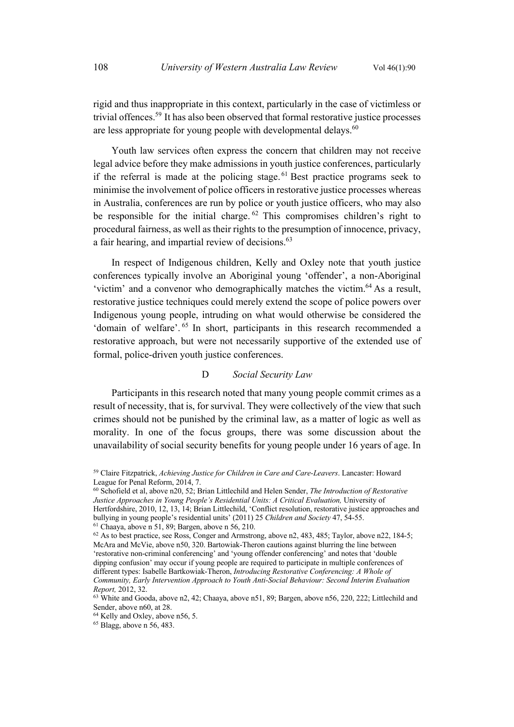rigid and thus inappropriate in this context, particularly in the case of victimless or trivial offences.59 It has also been observed that formal restorative justice processes are less appropriate for young people with developmental delays. $60$ 

Youth law services often express the concern that children may not receive legal advice before they make admissions in youth justice conferences, particularly if the referral is made at the policing stage.  $61$  Best practice programs seek to minimise the involvement of police officers in restorative justice processes whereas in Australia, conferences are run by police or youth justice officers, who may also be responsible for the initial charge. <sup>62</sup> This compromises children's right to procedural fairness, as well as their rights to the presumption of innocence, privacy, a fair hearing, and impartial review of decisions.<sup>63</sup>

In respect of Indigenous children, Kelly and Oxley note that youth justice conferences typically involve an Aboriginal young 'offender', a non-Aboriginal 'victim' and a convenor who demographically matches the victim.<sup>64</sup> As a result, restorative justice techniques could merely extend the scope of police powers over Indigenous young people, intruding on what would otherwise be considered the 'domain of welfare'. <sup>65</sup> In short, participants in this research recommended a restorative approach, but were not necessarily supportive of the extended use of formal, police-driven youth justice conferences.

## D *Social Security Law*

Participants in this research noted that many young people commit crimes as a result of necessity, that is, for survival. They were collectively of the view that such crimes should not be punished by the criminal law, as a matter of logic as well as morality. In one of the focus groups, there was some discussion about the unavailability of social security benefits for young people under 16 years of age. In

<sup>59</sup> Claire Fitzpatrick, *Achieving Justice for Children in Care and Care-Leavers*. Lancaster: Howard League for Penal Reform, 2014, 7.

<sup>60</sup> Schofield et al, above n20, 52; Brian Littlechild and Helen Sender, *The Introduction of Restorative Justice Approaches in Young People's Residential Units: A Critical Evaluation, University of* Hertfordshire, 2010, 12, 13, 14; Brian Littlechild, 'Conflict resolution, restorative justice approaches and bullying in young people's residential units' (2011) 25 *Children and Society* 47, 54-55.  $61$  Chaaya, above n 51, 89; Bargen, above n 56, 210.

<sup>&</sup>lt;sup>62</sup> As to best practice, see Ross, Conger and Armstrong, above n2, 483, 485; Taylor, above n22, 184-5; McAra and McVie, above n50, 320. Bartowiak-Theron cautions against blurring the line between 'restorative non-criminal conferencing' and 'young offender conferencing' and notes that 'double dipping confusion' may occur if young people are required to participate in multiple conferences of different types: Isabelle Bartkowiak-Theron, *Introducing Restorative Conferencing: A Whole of Community, Early Intervention Approach to Youth Anti-Social Behaviour: Second Interim Evaluation Report,* 2012, 32.

<sup>&</sup>lt;sup>63</sup> White and Gooda, above n2, 42; Chaaya, above n51, 89; Bargen, above n56, 220, 222; Littlechild and Sender, above n60, at 28.

<sup>64</sup> Kelly and Oxley, above n56, 5.

<sup>65</sup> Blagg, above n 56, 483.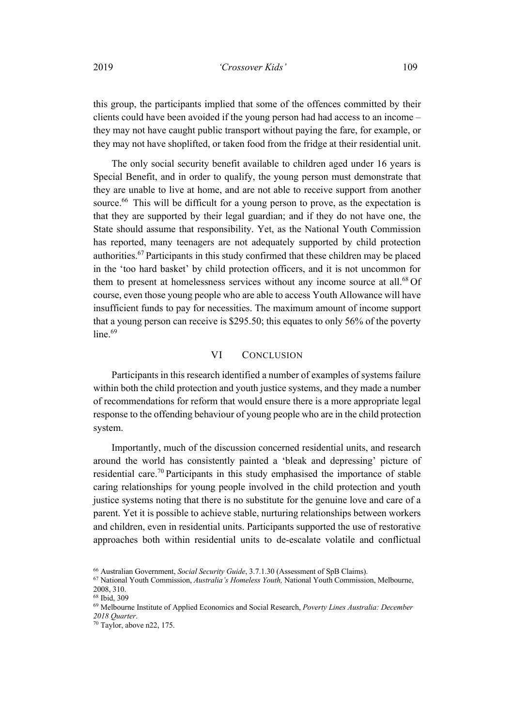this group, the participants implied that some of the offences committed by their clients could have been avoided if the young person had had access to an income – they may not have caught public transport without paying the fare, for example, or they may not have shoplifted, or taken food from the fridge at their residential unit.

The only social security benefit available to children aged under 16 years is Special Benefit, and in order to qualify, the young person must demonstrate that they are unable to live at home, and are not able to receive support from another source.<sup>66</sup> This will be difficult for a young person to prove, as the expectation is that they are supported by their legal guardian; and if they do not have one, the State should assume that responsibility. Yet, as the National Youth Commission has reported, many teenagers are not adequately supported by child protection authorities.67 Participants in this study confirmed that these children may be placed in the 'too hard basket' by child protection officers, and it is not uncommon for them to present at homelessness services without any income source at all. $^{68}$  Of course, even those young people who are able to access Youth Allowance will have insufficient funds to pay for necessities. The maximum amount of income support that a young person can receive is \$295.50; this equates to only 56% of the poverty  $line<sup>.69</sup>$ 

# VI CONCLUSION

Participants in this research identified a number of examples of systems failure within both the child protection and youth justice systems, and they made a number of recommendations for reform that would ensure there is a more appropriate legal response to the offending behaviour of young people who are in the child protection system.

Importantly, much of the discussion concerned residential units, and research around the world has consistently painted a 'bleak and depressing' picture of residential care.<sup>70</sup> Participants in this study emphasised the importance of stable caring relationships for young people involved in the child protection and youth justice systems noting that there is no substitute for the genuine love and care of a parent. Yet it is possible to achieve stable, nurturing relationships between workers and children, even in residential units. Participants supported the use of restorative approaches both within residential units to de-escalate volatile and conflictual

<sup>66</sup> Australian Government, *Social Security Guide*, 3.7.1.30 (Assessment of SpB Claims).

<sup>67</sup> National Youth Commission, *Australia's Homeless Youth,* National Youth Commission, Melbourne, 2008, 310.

<sup>68</sup> Ibid, 309

<sup>69</sup> Melbourne Institute of Applied Economics and Social Research, *Poverty Lines Australia: December* 

*<sup>2018</sup> Quarter*. 70 Taylor, above n22, 175.